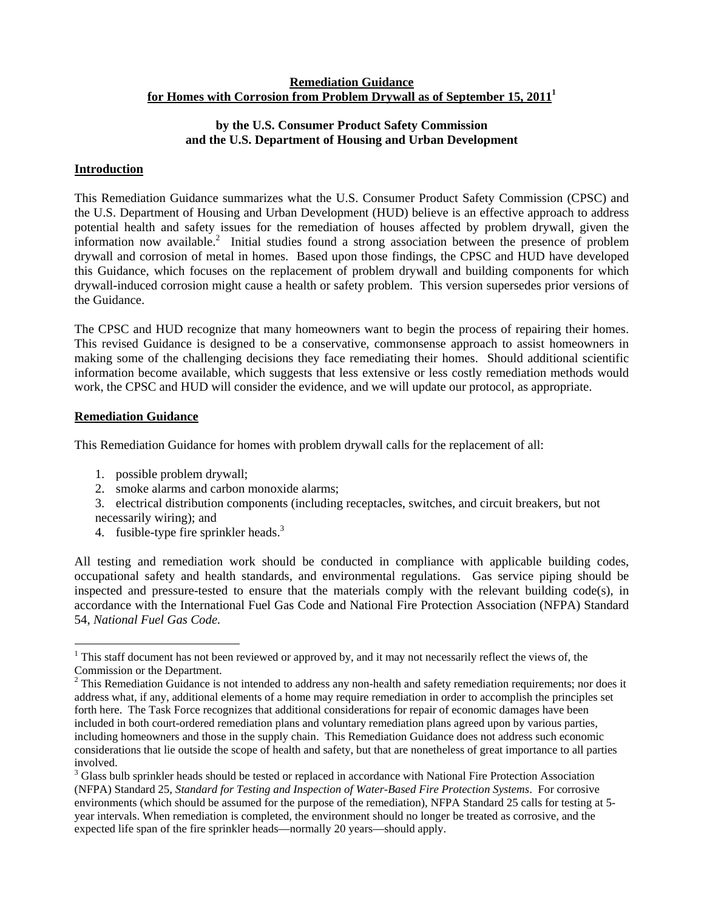## **Remediation Guidance for Homes with Corrosion from Problem Drywall as of September 15, 20111**

#### **by the U.S. Consumer Product Safety Commission and the U.S. Department of Housing and Urban Development**

## **Introduction**

This Remediation Guidance summarizes what the U.S. Consumer Product Safety Commission (CPSC) and the U.S. Department of Housing and Urban Development (HUD) believe is an effective approach to address potential health and safety issues for the remediation of houses affected by problem drywall, given the information now available.<sup>2</sup> Initial studies found a strong association between the presence of problem drywall and corrosion of metal in homes. Based upon those findings, the CPSC and HUD have developed this Guidance, which focuses on the replacement of problem drywall and building components for which drywall-induced corrosion might cause a health or safety problem. This version supersedes prior versions of the Guidance.

The CPSC and HUD recognize that many homeowners want to begin the process of repairing their homes. This revised Guidance is designed to be a conservative, commonsense approach to assist homeowners in making some of the challenging decisions they face remediating their homes. Should additional scientific information become available, which suggests that less extensive or less costly remediation methods would work, the CPSC and HUD will consider the evidence, and we will update our protocol, as appropriate.

#### **Remediation Guidance**

 $\overline{a}$ 

This Remediation Guidance for homes with problem drywall calls for the replacement of all:

- 1. possible problem drywall;
- 2. smoke alarms and carbon monoxide alarms;
- 3. electrical distribution components (including receptacles, switches, and circuit breakers, but not necessarily wiring); and
- 4. fusible-type fire sprinkler heads. $3$

All testing and remediation work should be conducted in compliance with applicable building codes, occupational safety and health standards, and environmental regulations. Gas service piping should be inspected and pressure-tested to ensure that the materials comply with the relevant building code(s), in accordance with the International Fuel Gas Code and National Fire Protection Association (NFPA) Standard 54, *National Fuel Gas Code.*

 $1$ <sup>1</sup> This staff document has not been reviewed or approved by, and it may not necessarily reflect the views of, the Commission or the Department.

 $2$  This Remediation Guidance is not intended to address any non-health and safety remediation requirements; nor does it address what, if any, additional elements of a home may require remediation in order to accomplish the principles set forth here. The Task Force recognizes that additional considerations for repair of economic damages have been included in both court-ordered remediation plans and voluntary remediation plans agreed upon by various parties, including homeowners and those in the supply chain. This Remediation Guidance does not address such economic considerations that lie outside the scope of health and safety, but that are nonetheless of great importance to all parties involved.

<sup>&</sup>lt;sup>3</sup> Glass bulb sprinkler heads should be tested or replaced in accordance with National Fire Protection Association (NFPA) Standard 25, *Standard for Testing and Inspection of Water-Based Fire Protection Systems*. For corrosive environments (which should be assumed for the purpose of the remediation), NFPA Standard 25 calls for testing at 5 year intervals. When remediation is completed, the environment should no longer be treated as corrosive, and the expected life span of the fire sprinkler heads—normally 20 years—should apply.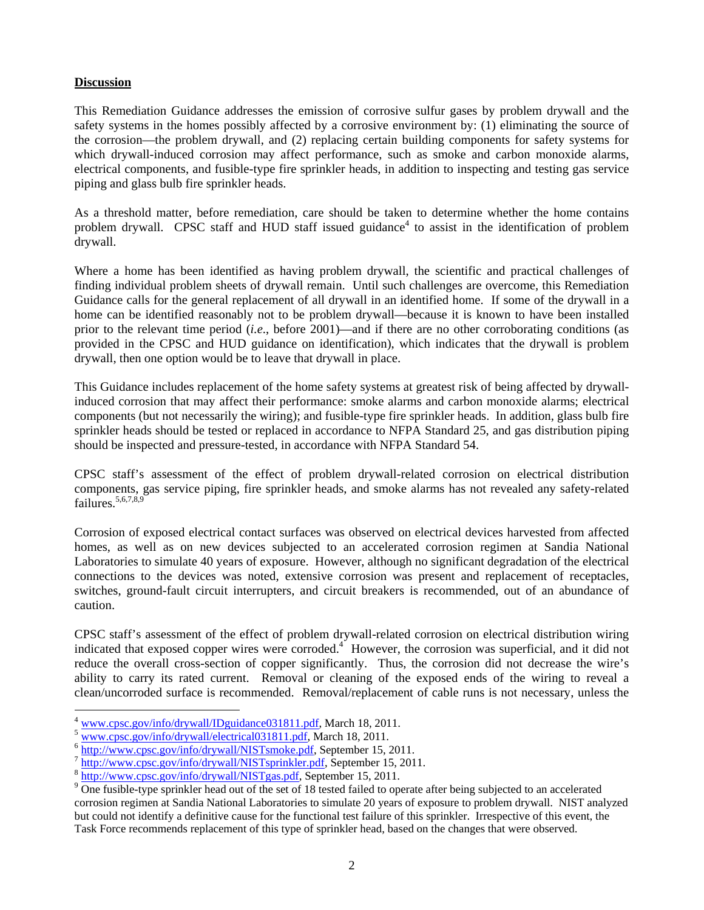## **Discussion**

 $\overline{a}$ 

This Remediation Guidance addresses the emission of corrosive sulfur gases by problem drywall and the safety systems in the homes possibly affected by a corrosive environment by: (1) eliminating the source of the corrosion—the problem drywall, and (2) replacing certain building components for safety systems for which drywall-induced corrosion may affect performance, such as smoke and carbon monoxide alarms, electrical components, and fusible-type fire sprinkler heads, in addition to inspecting and testing gas service piping and glass bulb fire sprinkler heads.

As a threshold matter, before remediation, care should be taken to determine whether the home contains problem drywall. CPSC staff and HUD staff issued guidance<sup>4</sup> to assist in the identification of problem drywall.

Where a home has been identified as having problem drywall, the scientific and practical challenges of finding individual problem sheets of drywall remain. Until such challenges are overcome, this Remediation Guidance calls for the general replacement of all drywall in an identified home. If some of the drywall in a home can be identified reasonably not to be problem drywall—because it is known to have been installed prior to the relevant time period (*i.e*., before 2001)—and if there are no other corroborating conditions (as provided in the CPSC and HUD guidance on identification), which indicates that the drywall is problem drywall, then one option would be to leave that drywall in place.

This Guidance includes replacement of the home safety systems at greatest risk of being affected by drywallinduced corrosion that may affect their performance: smoke alarms and carbon monoxide alarms; electrical components (but not necessarily the wiring); and fusible-type fire sprinkler heads. In addition, glass bulb fire sprinkler heads should be tested or replaced in accordance to NFPA Standard 25, and gas distribution piping should be inspected and pressure-tested, in accordance with NFPA Standard 54.

CPSC staff's assessment of the effect of problem drywall-related corrosion on electrical distribution components, gas service piping, fire sprinkler heads, and smoke alarms has not revealed any safety-related  $failing<sub>5,6,7,8,9</sub>$ 

Corrosion of exposed electrical contact surfaces was observed on electrical devices harvested from affected homes, as well as on new devices subjected to an accelerated corrosion regimen at Sandia National Laboratories to simulate 40 years of exposure. However, although no significant degradation of the electrical connections to the devices was noted, extensive corrosion was present and replacement of receptacles, switches, ground-fault circuit interrupters, and circuit breakers is recommended, out of an abundance of caution.

CPSC staff's assessment of the effect of problem drywall-related corrosion on electrical distribution wiring indicated that exposed copper wires were corroded.<sup>4</sup> However, the corrosion was superficial, and it did not reduce the overall cross-section of copper significantly. Thus, the corrosion did not decrease the wire's ability to carry its rated current. Removal or cleaning of the exposed ends of the wiring to reveal a clean/uncorroded surface is recommended. Removal/replacement of cable runs is not necessary, unless the

 $\frac{\frac{4}{5} \frac{\text{www.cpsc.gov/info/drywall/IDguideance031811.pdf}{\text{www.cpsc.gov/info/drywall/electrical031811.pdf}}$ <br>  $\frac{6}{5} \frac{\text{www.cpsc.gov/info/drywall/electrical031811.pdf}}{\text{http://www.cpsc.gov/info/drywall/NISTsmoke.pdf}}$ , September 15, 2011.<br>  $\frac{7}{1} \frac{\text{http://www.cpsc.gov/info/drywall/NISTsmoke.pdf}}{\text{http://www.cpsc.gov/info/drywall/NISTsrinkler.pdf}}$ , September 15, 2011.

<sup>&</sup>lt;sup>9</sup> One fusible-type sprinkler head out of the set of 18 tested failed to operate after being subjected to an accelerated corrosion regimen at Sandia National Laboratories to simulate 20 years of exposure to problem drywall. NIST analyzed but could not identify a definitive cause for the functional test failure of this sprinkler. Irrespective of this event, the Task Force recommends replacement of this type of sprinkler head, based on the changes that were observed.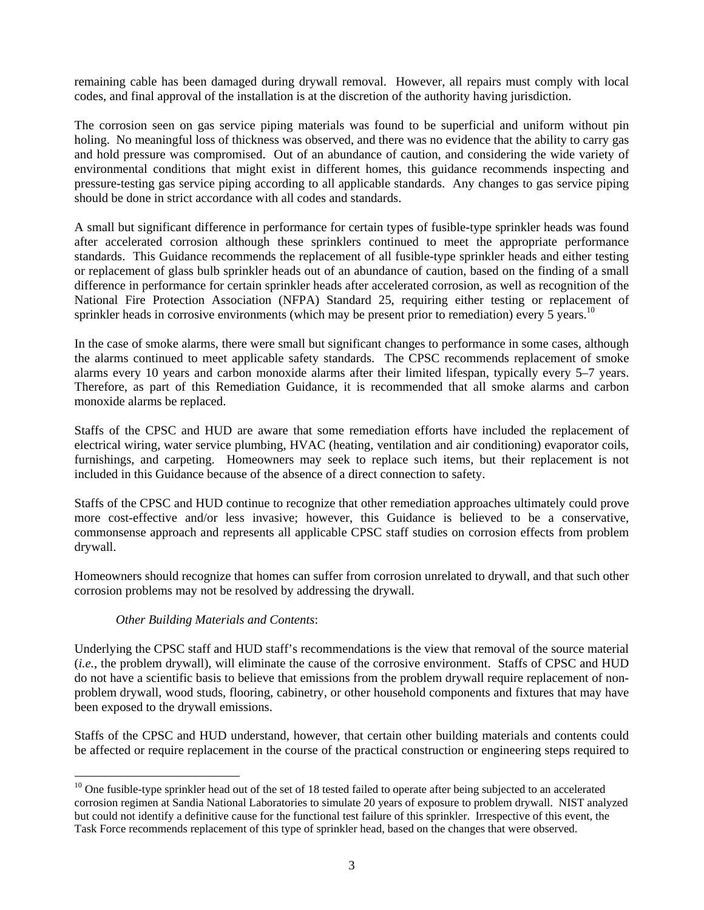remaining cable has been damaged during drywall removal. However, all repairs must comply with local codes, and final approval of the installation is at the discretion of the authority having jurisdiction.

The corrosion seen on gas service piping materials was found to be superficial and uniform without pin holing. No meaningful loss of thickness was observed, and there was no evidence that the ability to carry gas and hold pressure was compromised. Out of an abundance of caution, and considering the wide variety of environmental conditions that might exist in different homes, this guidance recommends inspecting and pressure-testing gas service piping according to all applicable standards. Any changes to gas service piping should be done in strict accordance with all codes and standards.

A small but significant difference in performance for certain types of fusible-type sprinkler heads was found after accelerated corrosion although these sprinklers continued to meet the appropriate performance standards. This Guidance recommends the replacement of all fusible-type sprinkler heads and either testing or replacement of glass bulb sprinkler heads out of an abundance of caution, based on the finding of a small difference in performance for certain sprinkler heads after accelerated corrosion, as well as recognition of the National Fire Protection Association (NFPA) Standard 25, requiring either testing or replacement of sprinkler heads in corrosive environments (which may be present prior to remediation) every 5 years.<sup>10</sup>

In the case of smoke alarms, there were small but significant changes to performance in some cases, although the alarms continued to meet applicable safety standards. The CPSC recommends replacement of smoke alarms every 10 years and carbon monoxide alarms after their limited lifespan, typically every 5–7 years. Therefore, as part of this Remediation Guidance, it is recommended that all smoke alarms and carbon monoxide alarms be replaced.

Staffs of the CPSC and HUD are aware that some remediation efforts have included the replacement of electrical wiring, water service plumbing, HVAC (heating, ventilation and air conditioning) evaporator coils, furnishings, and carpeting. Homeowners may seek to replace such items, but their replacement is not included in this Guidance because of the absence of a direct connection to safety.

Staffs of the CPSC and HUD continue to recognize that other remediation approaches ultimately could prove more cost-effective and/or less invasive; however, this Guidance is believed to be a conservative, commonsense approach and represents all applicable CPSC staff studies on corrosion effects from problem drywall.

Homeowners should recognize that homes can suffer from corrosion unrelated to drywall, and that such other corrosion problems may not be resolved by addressing the drywall.

#### *Other Building Materials and Contents*:

Underlying the CPSC staff and HUD staff's recommendations is the view that removal of the source material (*i.e.*, the problem drywall), will eliminate the cause of the corrosive environment. Staffs of CPSC and HUD do not have a scientific basis to believe that emissions from the problem drywall require replacement of nonproblem drywall, wood studs, flooring, cabinetry, or other household components and fixtures that may have been exposed to the drywall emissions.

Staffs of the CPSC and HUD understand, however, that certain other building materials and contents could be affected or require replacement in the course of the practical construction or engineering steps required to

 $\overline{a}$  $10$  One fusible-type sprinkler head out of the set of 18 tested failed to operate after being subjected to an accelerated corrosion regimen at Sandia National Laboratories to simulate 20 years of exposure to problem drywall. NIST analyzed but could not identify a definitive cause for the functional test failure of this sprinkler. Irrespective of this event, the Task Force recommends replacement of this type of sprinkler head, based on the changes that were observed.